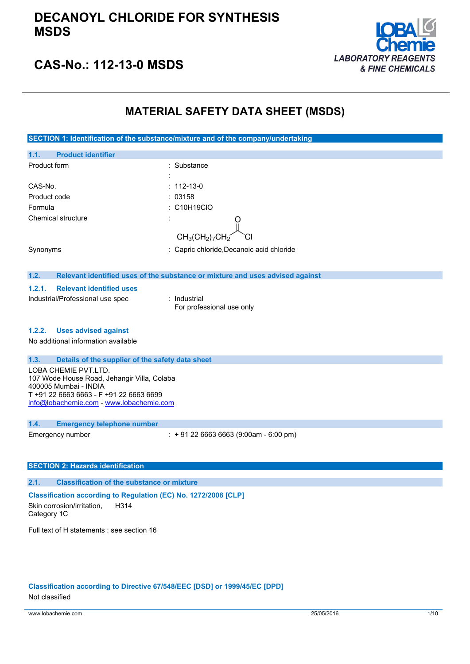

# **CAS-No.: 112-13-0 MSDS**

## **MATERIAL SAFETY DATA SHEET (MSDS)**

**SECTION 1: Identification of the substance/mixture and of the company/undertaking 1.1. Product identifier** Product form : Substance : Substance : CAS-No. : 112-13-0 Product code : 03158 Formula : C10H19ClO Chemical structure  $CH<sub>3</sub>(CH<sub>2</sub>)<sub>7</sub>$ Synonyms : Capric chloride,Decanoic acid chloride **1.2. Relevant identified uses of the substance or mixture and uses advised against 1.2.1. Relevant identified uses** Industrial/Professional use spec : Industrial For professional use only **1.2.2. Uses advised against** No additional information available **1.3. Details of the supplier of the safety data sheet** LOBA CHEMIE PVT.LTD. 107 Wode House Road, Jehangir Villa, Colaba 400005 Mumbai - INDIA T +91 22 6663 6663 - F +91 22 6663 6699 [info@lobachemie.com](mailto:info@lobachemie.com) - <www.lobachemie.com> **1.4. Emergency telephone number** Emergency number : + 91 22 6663 6663 (9:00am - 6:00 pm) **SECTION 2: Hazards identification 2.1. Classification of the substance or mixture**

**Classification according to Regulation (EC) No. 1272/2008 [CLP]** Skin corrosion/irritation, Category 1C H314

Full text of H statements : see section 16

### **Classification according to Directive 67/548/EEC [DSD] or 1999/45/EC [DPD]**

Not classified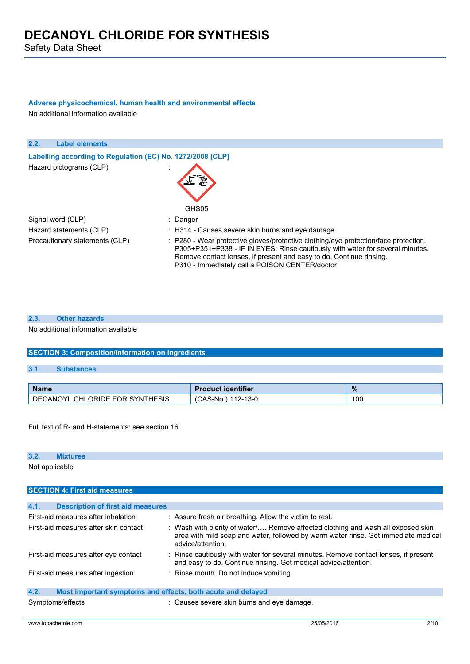## **Adverse physicochemical, human health and environmental effects**

No additional information available

| 2.2.<br><b>Label elements</b>                              |                                                                                                                                                                                                                                                                                               |
|------------------------------------------------------------|-----------------------------------------------------------------------------------------------------------------------------------------------------------------------------------------------------------------------------------------------------------------------------------------------|
| Labelling according to Regulation (EC) No. 1272/2008 [CLP] |                                                                                                                                                                                                                                                                                               |
| Hazard pictograms (CLP)                                    | GHS05                                                                                                                                                                                                                                                                                         |
| Signal word (CLP)                                          | : Danger                                                                                                                                                                                                                                                                                      |
| Hazard statements (CLP)                                    | : H314 - Causes severe skin burns and eye damage.                                                                                                                                                                                                                                             |
| Precautionary statements (CLP)                             | : P280 - Wear protective gloves/protective clothing/eye protection/face protection.<br>P305+P351+P338 - IF IN EYES: Rinse cautiously with water for several minutes.<br>Remove contact lenses, if present and easy to do. Continue rinsing.<br>P310 - Immediately call a POISON CENTER/doctor |

### **2.3. Other hazards**

No additional information available

### **SECTION 3: Composition/information on ingredients**

### **3.1. Substances**

| <b>Name</b>                               | <b>Product identifier</b> | $\%$ |
|-------------------------------------------|---------------------------|------|
| <b>CHLORIDE FOR SYNTHESIS</b><br>DECANOYL | 112-13-0<br>(CAS-No.)     | 100  |

Full text of R- and H-statements: see section 16

### **3.2. Mixtures**

Not applicable

## **SECTION 4: First aid measures 4.1. Description of first aid measures** First-aid measures after inhalation : Assure fresh air breathing. Allow the victim to rest. First-aid measures after skin contact : Wash with plenty of water/.... Remove affected clothing and wash all exposed skin area with mild soap and water, followed by warm water rinse. Get immediate medical advice/attention. First-aid measures after eye contact : Rinse cautiously with water for several minutes. Remove contact lenses, if present and easy to do. Continue rinsing. Get medical advice/attention. First-aid measures after ingestion : Rinse mouth. Do not induce vomiting. **4.2. Most important symptoms and effects, both acute and delayed**

Symptoms/effects : Causes severe skin burns and eye damage.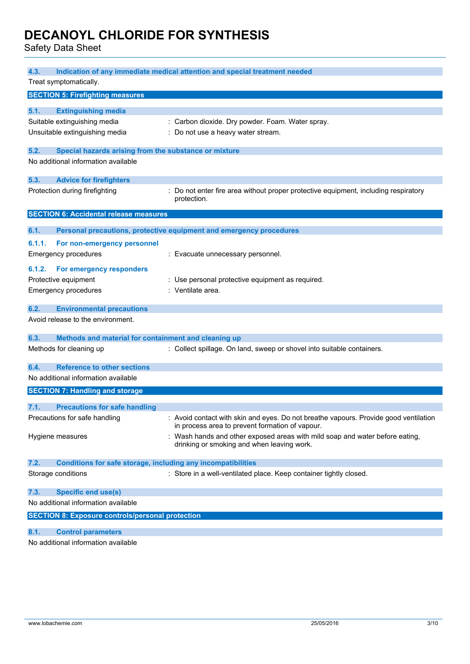Safety Data Sheet

| 4.3.<br>Indication of any immediate medical attention and special treatment needed |                                                              |                                                                                                                                         |
|------------------------------------------------------------------------------------|--------------------------------------------------------------|-----------------------------------------------------------------------------------------------------------------------------------------|
|                                                                                    | Treat symptomatically.                                       |                                                                                                                                         |
|                                                                                    | <b>SECTION 5: Firefighting measures</b>                      |                                                                                                                                         |
|                                                                                    |                                                              |                                                                                                                                         |
| 5.1.                                                                               | <b>Extinguishing media</b>                                   |                                                                                                                                         |
|                                                                                    | Suitable extinguishing media                                 | : Carbon dioxide. Dry powder. Foam. Water spray.                                                                                        |
|                                                                                    | Unsuitable extinguishing media                               | : Do not use a heavy water stream.                                                                                                      |
| 5.2.                                                                               | Special hazards arising from the substance or mixture        |                                                                                                                                         |
|                                                                                    | No additional information available                          |                                                                                                                                         |
| 5.3.                                                                               | <b>Advice for firefighters</b>                               |                                                                                                                                         |
|                                                                                    | Protection during firefighting                               | : Do not enter fire area without proper protective equipment, including respiratory<br>protection.                                      |
|                                                                                    | <b>SECTION 6: Accidental release measures</b>                |                                                                                                                                         |
| 6.1.                                                                               |                                                              |                                                                                                                                         |
|                                                                                    |                                                              | Personal precautions, protective equipment and emergency procedures                                                                     |
| 6.1.1.                                                                             | For non-emergency personnel                                  |                                                                                                                                         |
|                                                                                    | <b>Emergency procedures</b>                                  | : Evacuate unnecessary personnel.                                                                                                       |
| 6.1.2.                                                                             | For emergency responders                                     |                                                                                                                                         |
|                                                                                    | Protective equipment                                         | : Use personal protective equipment as required.                                                                                        |
|                                                                                    | <b>Emergency procedures</b>                                  | : Ventilate area.                                                                                                                       |
|                                                                                    |                                                              |                                                                                                                                         |
| 6.2.                                                                               | <b>Environmental precautions</b>                             |                                                                                                                                         |
|                                                                                    | Avoid release to the environment.                            |                                                                                                                                         |
| 6.3.                                                                               | Methods and material for containment and cleaning up         |                                                                                                                                         |
|                                                                                    | Methods for cleaning up                                      | : Collect spillage. On land, sweep or shovel into suitable containers.                                                                  |
| 6.4.                                                                               | <b>Reference to other sections</b>                           |                                                                                                                                         |
|                                                                                    | No additional information available                          |                                                                                                                                         |
|                                                                                    | <b>SECTION 7: Handling and storage</b>                       |                                                                                                                                         |
| 7.1.                                                                               | <b>Precautions for safe handling</b>                         |                                                                                                                                         |
|                                                                                    | Precautions for safe handling                                | : Avoid contact with skin and eyes. Do not breathe vapours. Provide good ventilation<br>in process area to prevent formation of vapour. |
|                                                                                    | Hygiene measures                                             | : Wash hands and other exposed areas with mild soap and water before eating,<br>drinking or smoking and when leaving work.              |
| 7.2.                                                                               | Conditions for safe storage, including any incompatibilities |                                                                                                                                         |
|                                                                                    | Storage conditions                                           | : Store in a well-ventilated place. Keep container tightly closed.                                                                      |
| 7.3.                                                                               | <b>Specific end use(s)</b>                                   |                                                                                                                                         |
|                                                                                    | No additional information available                          |                                                                                                                                         |
|                                                                                    | <b>SECTION 8: Exposure controls/personal protection</b>      |                                                                                                                                         |
|                                                                                    |                                                              |                                                                                                                                         |
| 8.1.                                                                               | <b>Control parameters</b>                                    |                                                                                                                                         |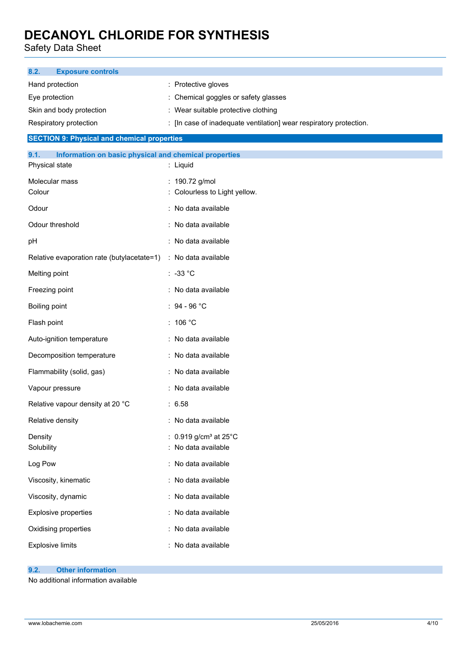Safety Data Sheet

| <b>Exposure controls</b><br>8.2.                              |                                                                      |  |
|---------------------------------------------------------------|----------------------------------------------------------------------|--|
| Hand protection                                               | : Protective gloves                                                  |  |
| Eye protection                                                | : Chemical goggles or safety glasses                                 |  |
| Skin and body protection                                      | : Wear suitable protective clothing                                  |  |
| Respiratory protection                                        | : [In case of inadequate ventilation] wear respiratory protection.   |  |
| <b>SECTION 9: Physical and chemical properties</b>            |                                                                      |  |
| Information on basic physical and chemical properties<br>9.1. |                                                                      |  |
| Physical state                                                | : Liquid                                                             |  |
| Molecular mass<br>Colour                                      | : 190.72 g/mol<br>: Colourless to Light yellow.                      |  |
| Odour                                                         | : No data available                                                  |  |
| Odour threshold                                               | : No data available                                                  |  |
| pH                                                            | : No data available                                                  |  |
| Relative evaporation rate (butylacetate=1)                    | : No data available                                                  |  |
| Melting point                                                 | $: -33 °C$                                                           |  |
| Freezing point                                                | : No data available                                                  |  |
| Boiling point                                                 | : $94 - 96 °C$                                                       |  |
| Flash point                                                   | : $106 °C$                                                           |  |
| Auto-ignition temperature                                     | : No data available                                                  |  |
| Decomposition temperature                                     | : No data available                                                  |  |
| Flammability (solid, gas)                                     | : No data available                                                  |  |
| Vapour pressure                                               | : No data available                                                  |  |
| Relative vapour density at 20 °C                              | : 6.58                                                               |  |
| Relative density                                              | : No data available                                                  |  |
| Density<br>Solubility                                         | : $0.919$ g/cm <sup>3</sup> at $25^{\circ}$ C<br>: No data available |  |
| Log Pow                                                       | : No data available                                                  |  |
| Viscosity, kinematic                                          | : No data available                                                  |  |
| Viscosity, dynamic                                            | : No data available                                                  |  |
| <b>Explosive properties</b>                                   | : No data available                                                  |  |
| Oxidising properties                                          | : No data available                                                  |  |
| <b>Explosive limits</b>                                       | : No data available                                                  |  |

## **9.2. Other information**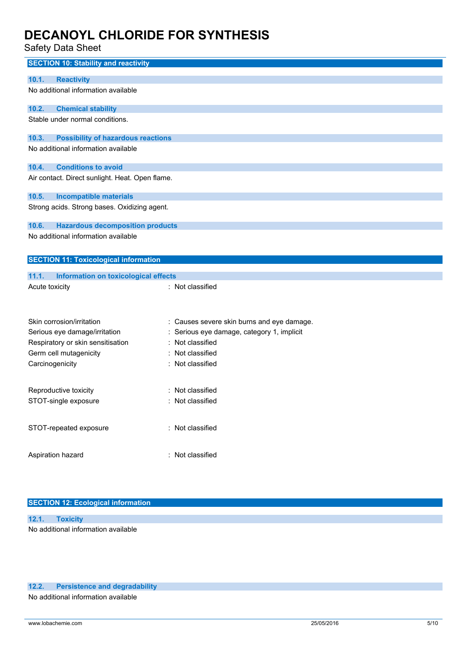Safety Data Sheet

| <b>SECTION 10: Stability and reactivity</b>                        |                                                                                        |
|--------------------------------------------------------------------|----------------------------------------------------------------------------------------|
| <b>Reactivity</b><br>10.1.                                         |                                                                                        |
| No additional information available                                |                                                                                        |
|                                                                    |                                                                                        |
| 10.2.<br><b>Chemical stability</b>                                 |                                                                                        |
| Stable under normal conditions.                                    |                                                                                        |
|                                                                    |                                                                                        |
| 10.3.<br><b>Possibility of hazardous reactions</b>                 |                                                                                        |
| No additional information available                                |                                                                                        |
| <b>Conditions to avoid</b><br>10.4.                                |                                                                                        |
| Air contact. Direct sunlight. Heat. Open flame.                    |                                                                                        |
|                                                                    |                                                                                        |
| 10.5.<br><b>Incompatible materials</b>                             |                                                                                        |
| Strong acids. Strong bases. Oxidizing agent.                       |                                                                                        |
|                                                                    |                                                                                        |
| 10.6.<br><b>Hazardous decomposition products</b>                   |                                                                                        |
| No additional information available                                |                                                                                        |
|                                                                    |                                                                                        |
| <b>SECTION 11: Toxicological information</b>                       |                                                                                        |
| 11.1.<br>Information on toxicological effects                      |                                                                                        |
| Acute toxicity                                                     | : Not classified                                                                       |
|                                                                    |                                                                                        |
|                                                                    |                                                                                        |
| Skin corrosion/irritation                                          |                                                                                        |
|                                                                    | : Causes severe skin burns and eye damage.<br>Serious eye damage, category 1, implicit |
| Serious eye damage/irritation<br>Respiratory or skin sensitisation | Not classified                                                                         |
| Germ cell mutagenicity                                             | Not classified                                                                         |
|                                                                    | : Not classified                                                                       |
| Carcinogenicity                                                    |                                                                                        |
|                                                                    |                                                                                        |
| Reproductive toxicity                                              | Not classified                                                                         |
|                                                                    |                                                                                        |
| STOT-single exposure                                               | Not classified                                                                         |
|                                                                    |                                                                                        |
|                                                                    |                                                                                        |
| STOT-repeated exposure                                             | : Not classified                                                                       |
|                                                                    |                                                                                        |
| Aspiration hazard                                                  | : Not classified                                                                       |

### **SECTION 12: Ecological information**

| 12.1. Toxicity                      |  |
|-------------------------------------|--|
| No additional information available |  |

### **12.2. Persistence and degradability**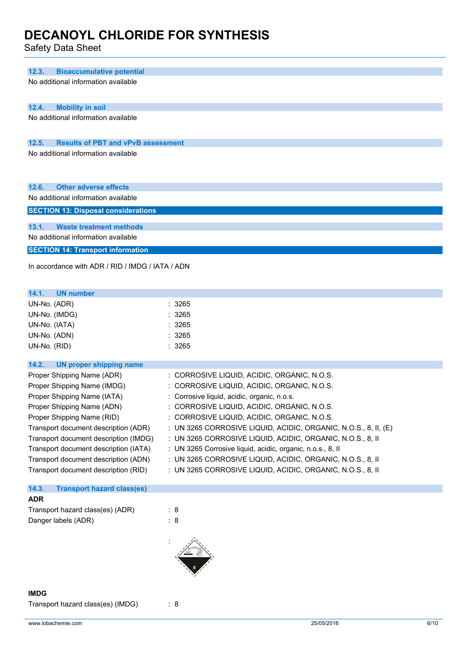Safety Data Sheet

| 12.3.<br><b>Bioaccumulative potential</b>          |                                                                 |
|----------------------------------------------------|-----------------------------------------------------------------|
| No additional information available                |                                                                 |
|                                                    |                                                                 |
| 12.4.<br><b>Mobility in soil</b>                   |                                                                 |
| No additional information available                |                                                                 |
|                                                    |                                                                 |
| 12.5.<br><b>Results of PBT and vPvB assessment</b> |                                                                 |
| No additional information available                |                                                                 |
| 12.6.<br><b>Other adverse effects</b>              |                                                                 |
| No additional information available                |                                                                 |
| <b>SECTION 13: Disposal considerations</b>         |                                                                 |
| <b>Waste treatment methods</b><br>13.1.            |                                                                 |
| No additional information available                |                                                                 |
| <b>SECTION 14: Transport information</b>           |                                                                 |
| In accordance with ADR / RID / IMDG / IATA / ADN   |                                                                 |
| 14.1.<br><b>UN number</b>                          |                                                                 |
| UN-No. (ADR)                                       | : 3265                                                          |
| UN-No. (IMDG)                                      | : 3265                                                          |
| UN-No. (IATA)                                      | : 3265                                                          |
| UN-No. (ADN)                                       | : 3265                                                          |
| UN-No. (RID)                                       | : 3265                                                          |
| 14.2.<br><b>UN proper shipping name</b>            |                                                                 |
| Proper Shipping Name (ADR)                         | : CORROSIVE LIQUID, ACIDIC, ORGANIC, N.O.S.                     |
| Proper Shipping Name (IMDG)                        | : CORROSIVE LIQUID, ACIDIC, ORGANIC, N.O.S.                     |
| Proper Shipping Name (IATA)                        | : Corrosive liquid, acidic, organic, n.o.s.                     |
| Proper Shipping Name (ADN)                         | CORROSIVE LIQUID, ACIDIC, ORGANIC, N.O.S.                       |
| Proper Shipping Name (RID)                         | : CORROSIVE LIQUID, ACIDIC, ORGANIC, N.O.S.                     |
| Transport document description (ADR)               | : UN 3265 CORROSIVE LIQUID, ACIDIC, ORGANIC, N.O.S., 8, II, (E) |
| Transport document description (IMDG)              | : UN 3265 CORROSIVE LIQUID, ACIDIC, ORGANIC, N.O.S., 8, II      |
| Transport document description (IATA)              | : UN 3265 Corrosive liquid, acidic, organic, n.o.s., 8, II      |
| Transport document description (ADN)               | : UN 3265 CORROSIVE LIQUID, ACIDIC, ORGANIC, N.O.S., 8, II      |
| Transport document description (RID)               | : UN 3265 CORROSIVE LIQUID, ACIDIC, ORGANIC, N.O.S., 8, II      |
| 14.3.<br><b>Transport hazard class(es)</b>         |                                                                 |
| <b>ADR</b>                                         |                                                                 |
| Transport hazard class(es) (ADR)                   | : 8                                                             |
| Danger labels (ADR)                                | : 8                                                             |
|                                                    |                                                                 |

### **IMDG**

Transport hazard class(es) (IMDG) : 8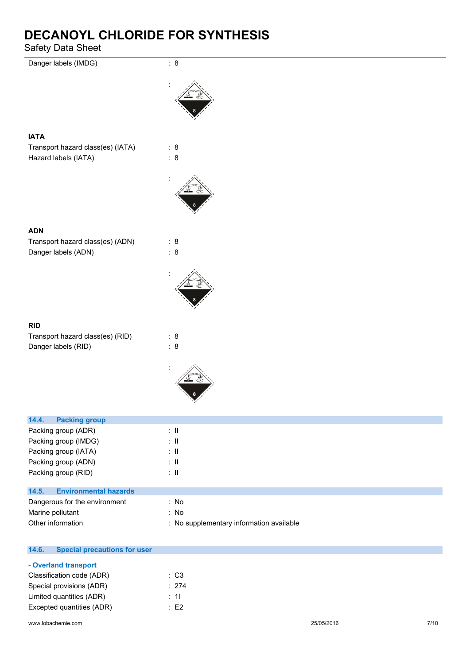Safety Data Sheet

| Danger labels (IMDG)                                      | : 8                                              |
|-----------------------------------------------------------|--------------------------------------------------|
|                                                           |                                                  |
| <b>IATA</b>                                               |                                                  |
| Transport hazard class(es) (IATA)<br>Hazard labels (IATA) | : 8<br>: 8                                       |
|                                                           |                                                  |
| <b>ADN</b>                                                |                                                  |
| Transport hazard class(es) (ADN)<br>Danger labels (ADN)   | : 8<br>: 8                                       |
|                                                           |                                                  |
| <b>RID</b>                                                |                                                  |
| Transport hazard class(es) (RID)<br>Danger labels (RID)   | : 8<br>: 8                                       |
|                                                           |                                                  |
| <b>Packing group</b><br>14.4.                             |                                                  |
| Packing group (ADR)                                       | $: \mathsf{II}$                                  |
| Packing group (IMDG)                                      | $\therefore$ H<br>$\therefore$ II                |
| Packing group (IATA)<br>Packing group (ADN)               | $\colon \, \mathrm{II}$                          |
| Packing group (RID)                                       | $: \mathsf{II}$                                  |
| <b>Environmental hazards</b><br>14.5.                     |                                                  |
| Dangerous for the environment                             | : No                                             |
| Marine pollutant<br>Other information                     | : No<br>: No supplementary information available |
| <b>Special precautions for user</b><br>14.6.              |                                                  |
| - Overland transport                                      |                                                  |

| - Overland transport      |          |
|---------------------------|----------|
| Classification code (ADR) | : C3     |
| Special provisions (ADR)  | : 274    |
| Limited quantities (ADR)  | : 11     |
| Excepted quantities (ADR) | $\pm$ F2 |
|                           |          |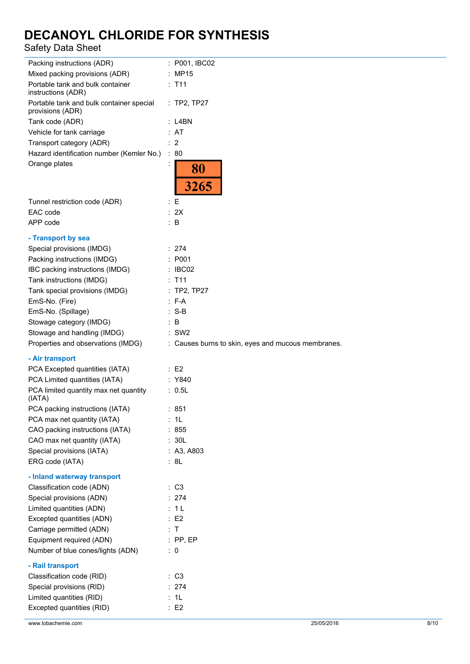## Safety Data Sheet

| Packing instructions (ADR)                                      | : P001, IBC02                                      |
|-----------------------------------------------------------------|----------------------------------------------------|
| Mixed packing provisions (ADR)                                  | : MP15                                             |
| Portable tank and bulk container<br>instructions (ADR)          | $:$ T11                                            |
| Portable tank and bulk container special<br>provisions (ADR)    | : TP2, TP27                                        |
| Tank code (ADR)                                                 | $:$ L4BN                                           |
| Vehicle for tank carriage                                       | : AT                                               |
| Transport category (ADR)                                        | $\therefore$ 2                                     |
| Hazard identification number (Kemler No.)                       | : 80                                               |
| Orange plates                                                   | 80<br>3265                                         |
|                                                                 |                                                    |
| Tunnel restriction code (ADR)                                   | $\colon E$                                         |
| EAC code                                                        | : 2X                                               |
| APP code                                                        | $\therefore$ B                                     |
| - Transport by sea                                              |                                                    |
| Special provisions (IMDG)                                       | : 274                                              |
| Packing instructions (IMDG)                                     | : P001                                             |
| IBC packing instructions (IMDG)                                 | : IBCO2                                            |
| Tank instructions (IMDG)                                        | $:$ T11                                            |
| Tank special provisions (IMDG)                                  | : TP2, TP27                                        |
| EmS-No. (Fire)                                                  | $: F-A$                                            |
| EmS-No. (Spillage)                                              | $: S-B$                                            |
| Stowage category (IMDG)                                         | : B                                                |
| Stowage and handling (IMDG)                                     | $:$ SW2                                            |
|                                                                 |                                                    |
| Properties and observations (IMDG)                              | : Causes burns to skin, eyes and mucous membranes. |
|                                                                 |                                                    |
| - Air transport                                                 | $\therefore$ E2                                    |
| PCA Excepted quantities (IATA)<br>PCA Limited quantities (IATA) | : Y840                                             |
| PCA limited quantity max net quantity<br>(IATA)                 | : 0.5L                                             |
| PCA packing instructions (IATA)                                 | : 851                                              |
| PCA max net quantity (IATA)                                     | : 1L                                               |
| CAO packing instructions (IATA)                                 | : 855                                              |
| CAO max net quantity (IATA)                                     | : 30L                                              |
| Special provisions (IATA)                                       | : A3, A803                                         |
| ERG code (IATA)                                                 | : 8L                                               |
| - Inland waterway transport                                     |                                                    |
| Classification code (ADN)                                       | : C3                                               |
| Special provisions (ADN)                                        | : 274                                              |
| Limited quantities (ADN)                                        | : 1L                                               |
| Excepted quantities (ADN)                                       | : E2                                               |
| Carriage permitted (ADN)                                        | : T                                                |
| Equipment required (ADN)                                        | $:$ PP, EP                                         |
| Number of blue cones/lights (ADN)                               | $\therefore$ 0                                     |
|                                                                 |                                                    |
| - Rail transport                                                |                                                    |
| Classification code (RID)                                       | : C3<br>: 274                                      |
| Special provisions (RID)                                        | : 1L                                               |
| Limited quantities (RID)<br>Excepted quantities (RID)           | : E2                                               |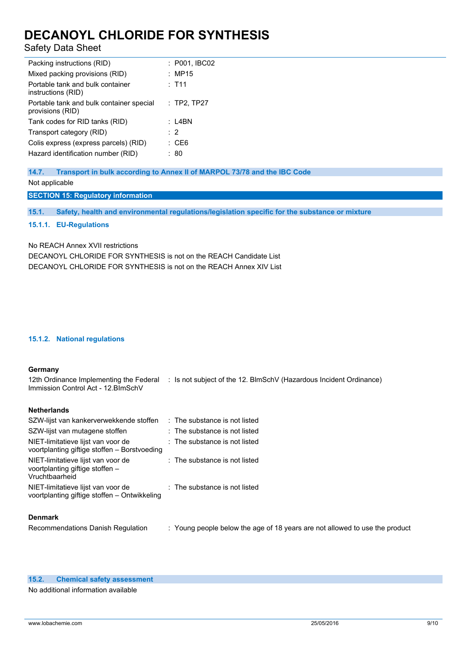## Safety Data Sheet

| Packing instructions (RID)                                   | : P001, IBC02 |
|--------------------------------------------------------------|---------------|
| Mixed packing provisions (RID)                               | : MP15        |
| Portable tank and bulk container<br>instructions (RID)       | $:$ T11       |
| Portable tank and bulk container special<br>provisions (RID) | $:$ TP2, TP27 |
| Tank codes for RID tanks (RID)                               | : L4BN        |
| Transport category (RID)                                     | $\cdot$ 2     |
| Colis express (express parcels) (RID)                        | : CE6         |
| Hazard identification number (RID)                           | : 80          |

**14.7. Transport in bulk according to Annex II of MARPOL 73/78 and the IBC Code** Not applicable

**SECTION 15: Regulatory information**

**15.1. Safety, health and environmental regulations/legislation specific for the substance or mixture**

**15.1.1. EU-Regulations**

No REACH Annex XVII restrictions

DECANOYL CHLORIDE FOR SYNTHESIS is not on the REACH Candidate List DECANOYL CHLORIDE FOR SYNTHESIS is not on the REACH Annex XIV List

### **15.1.2. National regulations**

#### **Germany**

12th Ordinance Implementing the Federal : Is not subject of the 12. BlmSchV (Hazardous Incident Ordinance) Immission Control Act - 12.BImSchV

### **Netherlands**

| $\therefore$ The substance is not listed |                                                                                                                       |
|------------------------------------------|-----------------------------------------------------------------------------------------------------------------------|
|                                          |                                                                                                                       |
|                                          |                                                                                                                       |
| $\therefore$ The substance is not listed |                                                                                                                       |
|                                          |                                                                                                                       |
|                                          | : The substance is not listed<br>$\therefore$ The substance is not listed<br>$\therefore$ The substance is not listed |

### **Denmark**

Recommendations Danish Regulation : Young people below the age of 18 years are not allowed to use the product

#### **15.2. Chemical safety assessment**